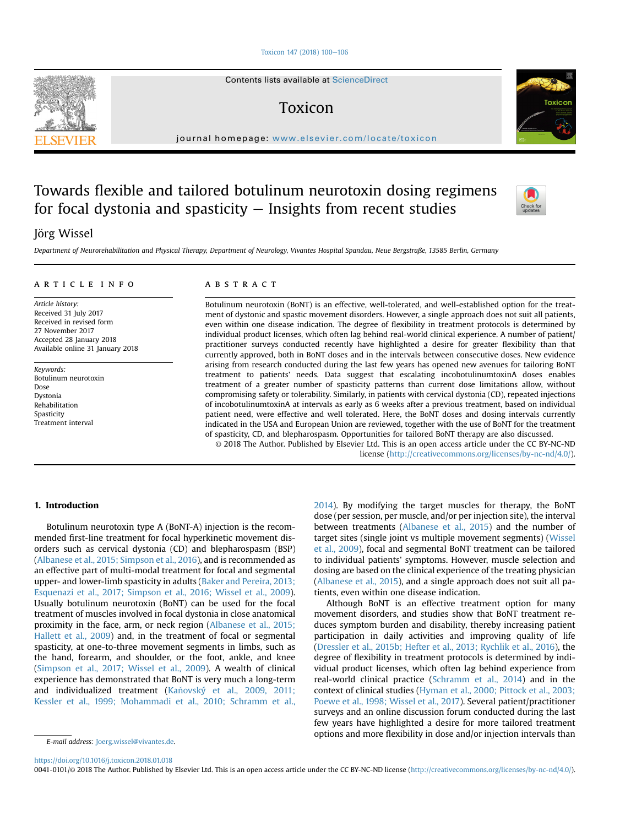[Toxicon 147 \(2018\) 100](https://doi.org/10.1016/j.toxicon.2018.01.018)-[106](https://doi.org/10.1016/j.toxicon.2018.01.018)

Contents lists available at ScienceDirect

## Toxicon

journal homepage: <www.elsevier.com/locate/toxicon>

# Towards flexible and tailored botulinum neurotoxin dosing regimens for focal dystonia and spasticity  $-$  Insights from recent studies

## Jörg Wissel

Department of Neurorehabilitation and Physical Therapy, Department of Neurology, Vivantes Hospital Spandau, Neue Bergstraße, 13585 Berlin, Germany

#### article info

Article history: Received 31 July 2017 Received in revised form 27 November 2017 Accepted 28 January 2018 Available online 31 January 2018

Keywords: Botulinum neurotoxin Dose Dystonia Rehabilitation Spasticity Treatment interval

## **ABSTRACT**

Botulinum neurotoxin (BoNT) is an effective, well-tolerated, and well-established option for the treatment of dystonic and spastic movement disorders. However, a single approach does not suit all patients, even within one disease indication. The degree of flexibility in treatment protocols is determined by individual product licenses, which often lag behind real-world clinical experience. A number of patient/ practitioner surveys conducted recently have highlighted a desire for greater flexibility than that currently approved, both in BoNT doses and in the intervals between consecutive doses. New evidence arising from research conducted during the last few years has opened new avenues for tailoring BoNT treatment to patients' needs. Data suggest that escalating incobotulinumtoxinA doses enables treatment of a greater number of spasticity patterns than current dose limitations allow, without compromising safety or tolerability. Similarly, in patients with cervical dystonia (CD), repeated injections of incobotulinumtoxinA at intervals as early as 6 weeks after a previous treatment, based on individual patient need, were effective and well tolerated. Here, the BoNT doses and dosing intervals currently indicated in the USA and European Union are reviewed, together with the use of BoNT for the treatment of spasticity, CD, and blepharospasm. Opportunities for tailored BoNT therapy are also discussed.

© 2018 The Author. Published by Elsevier Ltd. This is an open access article under the CC BY-NC-ND license [\(http://creativecommons.org/licenses/by-nc-nd/4.0/](http://creativecommons.org/licenses/by-nc-nd/4.0/)).

## 1. Introduction

Botulinum neurotoxin type A (BoNT-A) injection is the recommended first-line treatment for focal hyperkinetic movement disorders such as cervical dystonia (CD) and blepharospasm (BSP) ([Albanese et al., 2015; Simpson et al., 2016](#page-5-0)), and is recommended as an effective part of multi-modal treatment for focal and segmental upper- and lower-limb spasticity in adults ([Baker and Pereira, 2013;](#page-5-0) [Esquenazi et al., 2017; Simpson et al., 2016; Wissel et al., 2009\)](#page-5-0). Usually botulinum neurotoxin (BoNT) can be used for the focal treatment of muscles involved in focal dystonia in close anatomical proximity in the face, arm, or neck region ([Albanese et al., 2015;](#page-5-0) [Hallett et al., 2009](#page-5-0)) and, in the treatment of focal or segmental spasticity, at one-to-three movement segments in limbs, such as the hand, forearm, and shoulder, or the foot, ankle, and knee ([Simpson et al., 2017; Wissel et al., 2009\)](#page-6-0). A wealth of clinical experience has demonstrated that BoNT is very much a long-term and individualized treatment (Kaňovský et al., 2009, 2011; [Kessler et al., 1999; Mohammadi et al., 2010; Schramm et al.,](#page-6-0)

E-mail address: [Joerg.wissel@vivantes.de](mailto:Joerg.wissel@vivantes.de).

[2014\)](#page-6-0). By modifying the target muscles for therapy, the BoNT dose (per session, per muscle, and/or per injection site), the interval between treatments [\(Albanese et al., 2015\)](#page-5-0) and the number of target sites (single joint vs multiple movement segments) ([Wissel](#page-6-0) [et al., 2009\)](#page-6-0), focal and segmental BoNT treatment can be tailored to individual patients' symptoms. However, muscle selection and dosing are based on the clinical experience of the treating physician ([Albanese et al., 2015\)](#page-5-0), and a single approach does not suit all patients, even within one disease indication.

Although BoNT is an effective treatment option for many movement disorders, and studies show that BoNT treatment reduces symptom burden and disability, thereby increasing patient participation in daily activities and improving quality of life ([Dressler et al., 2015b; Hefter et al., 2013; Rychlik et al., 2016](#page-5-0)), the degree of flexibility in treatment protocols is determined by individual product licenses, which often lag behind experience from real-world clinical practice ([Schramm et al., 2014\)](#page-6-0) and in the context of clinical studies [\(Hyman et al., 2000; Pittock et al., 2003;](#page-5-0) [Poewe et al., 1998; Wissel et al., 2017\)](#page-5-0). Several patient/practitioner surveys and an online discussion forum conducted during the last few years have highlighted a desire for more tailored treatment options and more flexibility in dose and/or injection intervals than

0041-0101/© 2018 The Author. Published by Elsevier Ltd. This is an open access article under the CC BY-NC-ND license ([http://creativecommons.org/licenses/by-nc-nd/4.0/\)](http://creativecommons.org/licenses/by-nc-nd/4.0/).







<https://doi.org/10.1016/j.toxicon.2018.01.018>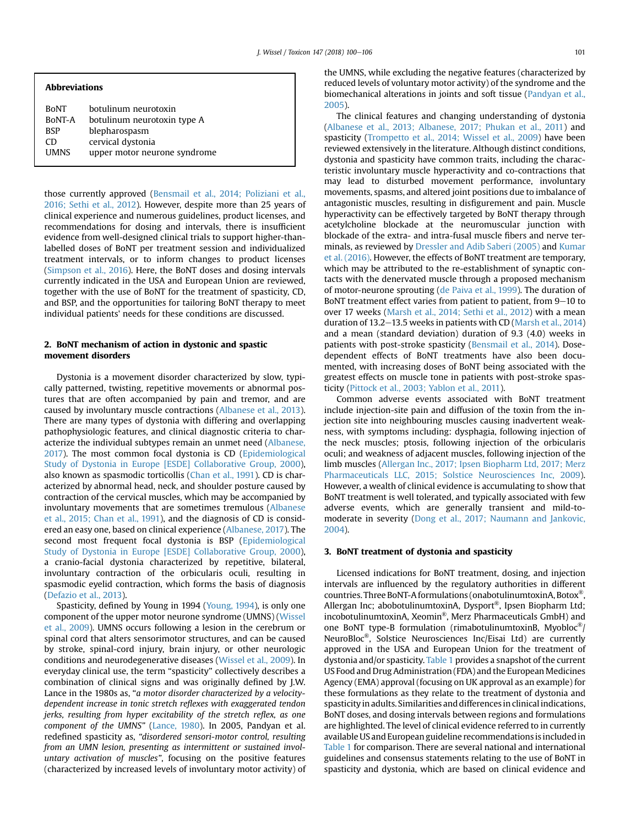#### Abbreviations

| <b>BONT</b> | botulinum neurotoxin         |
|-------------|------------------------------|
| BoNT-A      | botulinum neurotoxin type A  |
| <b>BSP</b>  | blepharospasm                |
| CD.         | cervical dystonia            |
| <b>UMNS</b> | upper motor neurone syndrome |
|             |                              |

those currently approved [\(Bensmail et al., 2014; Poliziani et al.,](#page-5-0) [2016; Sethi et al., 2012\)](#page-5-0). However, despite more than 25 years of clinical experience and numerous guidelines, product licenses, and recommendations for dosing and intervals, there is insufficient evidence from well-designed clinical trials to support higher-thanlabelled doses of BoNT per treatment session and individualized treatment intervals, or to inform changes to product licenses ([Simpson et al., 2016\)](#page-6-0). Here, the BoNT doses and dosing intervals currently indicated in the USA and European Union are reviewed, together with the use of BoNT for the treatment of spasticity, CD, and BSP, and the opportunities for tailoring BoNT therapy to meet individual patients' needs for these conditions are discussed.

## 2. BoNT mechanism of action in dystonic and spastic movement disorders

Dystonia is a movement disorder characterized by slow, typically patterned, twisting, repetitive movements or abnormal postures that are often accompanied by pain and tremor, and are caused by involuntary muscle contractions ([Albanese et al., 2013\)](#page-5-0). There are many types of dystonia with differing and overlapping pathophysiologic features, and clinical diagnostic criteria to characterize the individual subtypes remain an unmet need ([Albanese,](#page-5-0) [2017](#page-5-0)). The most common focal dystonia is CD [\(Epidemiological](#page-5-0) [Study of Dystonia in Europe \[ESDE\] Collaborative Group, 2000\)](#page-5-0), also known as spasmodic torticollis ([Chan et al., 1991\)](#page-5-0). CD is characterized by abnormal head, neck, and shoulder posture caused by contraction of the cervical muscles, which may be accompanied by involuntary movements that are sometimes tremulous [\(Albanese](#page-5-0) [et al., 2015; Chan et al., 1991\)](#page-5-0), and the diagnosis of CD is considered an easy one, based on clinical experience [\(Albanese, 2017](#page-5-0)). The second most frequent focal dystonia is BSP [\(Epidemiological](#page-5-0) [Study of Dystonia in Europe \[ESDE\] Collaborative Group, 2000\)](#page-5-0), a cranio-facial dystonia characterized by repetitive, bilateral, involuntary contraction of the orbicularis oculi, resulting in spasmodic eyelid contraction, which forms the basis of diagnosis ([Defazio et al., 2013](#page-5-0)).

Spasticity, defined by Young in 1994 [\(Young, 1994](#page-6-0)), is only one component of the upper motor neurone syndrome (UMNS) ([Wissel](#page-6-0) [et al., 2009\)](#page-6-0). UMNS occurs following a lesion in the cerebrum or spinal cord that alters sensorimotor structures, and can be caused by stroke, spinal-cord injury, brain injury, or other neurologic conditions and neurodegenerative diseases [\(Wissel et al., 2009\)](#page-6-0). In everyday clinical use, the term "spasticity" collectively describes a combination of clinical signs and was originally defined by J.W. Lance in the 1980s as, "a motor disorder characterized by a velocitydependent increase in tonic stretch reflexes with exaggerated tendon jerks, resulting from hyper excitability of the stretch reflex, as one component of the UMNS" [\(Lance, 1980\)](#page-6-0). In 2005, Pandyan et al. redefined spasticity as, "disordered sensori-motor control, resulting from an UMN lesion, presenting as intermittent or sustained involuntary activation of muscles", focusing on the positive features (characterized by increased levels of involuntary motor activity) of the UMNS, while excluding the negative features (characterized by reduced levels of voluntary motor activity) of the syndrome and the biomechanical alterations in joints and soft tissue [\(Pandyan et al.,](#page-6-0) [2005\)](#page-6-0).

The clinical features and changing understanding of dystonia ([Albanese et al., 2013; Albanese, 2017; Phukan et al., 2011\)](#page-5-0) and spasticity [\(Trompetto et al., 2014; Wissel et al., 2009\)](#page-6-0) have been reviewed extensively in the literature. Although distinct conditions, dystonia and spasticity have common traits, including the characteristic involuntary muscle hyperactivity and co-contractions that may lead to disturbed movement performance, involuntary movements, spasms, and altered joint positions due to imbalance of antagonistic muscles, resulting in disfigurement and pain. Muscle hyperactivity can be effectively targeted by BoNT therapy through acetylcholine blockade at the neuromuscular junction with blockade of the extra- and intra-fusal muscle fibers and nerve terminals, as reviewed by [Dressler and Adib Saberi \(2005\)](#page-5-0) and [Kumar](#page-6-0) [et al. \(2016\)](#page-6-0). However, the effects of BoNT treatment are temporary, which may be attributed to the re-establishment of synaptic contacts with the denervated muscle through a proposed mechanism of motor-neurone sprouting ([de Paiva et al., 1999\)](#page-5-0). The duration of BoNT treatment effect varies from patient to patient, from  $9-10$  to over 17 weeks ([Marsh et al., 2014; Sethi et al., 2012\)](#page-6-0) with a mean duration of 13.2-13.5 weeks in patients with CD ([Marsh et al., 2014\)](#page-6-0) and a mean (standard deviation) duration of 9.3 (4.0) weeks in patients with post-stroke spasticity [\(Bensmail et al., 2014\)](#page-5-0). Dosedependent effects of BoNT treatments have also been documented, with increasing doses of BoNT being associated with the greatest effects on muscle tone in patients with post-stroke spasticity [\(Pittock et al., 2003; Yablon et al., 2011\)](#page-6-0).

Common adverse events associated with BoNT treatment include injection-site pain and diffusion of the toxin from the injection site into neighbouring muscles causing inadvertent weakness, with symptoms including: dysphagia, following injection of the neck muscles; ptosis, following injection of the orbicularis oculi; and weakness of adjacent muscles, following injection of the limb muscles ([Allergan Inc., 2017; Ipsen Biopharm Ltd, 2017; Merz](#page-5-0) [Pharmaceuticals LLC, 2015; Solstice Neurosciences Inc, 2009\)](#page-5-0). However, a wealth of clinical evidence is accumulating to show that BoNT treatment is well tolerated, and typically associated with few adverse events, which are generally transient and mild-tomoderate in severity ([Dong et al., 2017; Naumann and Jankovic,](#page-5-0) [2004\)](#page-5-0).

### 3. BoNT treatment of dystonia and spasticity

Licensed indications for BoNT treatment, dosing, and injection intervals are influenced by the regulatory authorities in different countries. Three BoNT-A formulations (onabotulinumtoxinA, Botox®, Allergan Inc; abobotulinumtoxinA, Dysport®, Ipsen Biopharm Ltd; incobotulinumtoxinA, Xeomin®, Merz Pharmaceuticals GmbH) and one BoNT type-B formulation (rimabotulinumtoxinB, Myobloc®/ NeuroBloc®, Solstice Neurosciences Inc/Eisai Ltd) are currently approved in the USA and European Union for the treatment of dystonia and/or spasticity. [Table 1](#page-2-0) provides a snapshot of the current US Food and Drug Administration (FDA) and the European Medicines Agency (EMA) approval (focusing on UK approval as an example) for these formulations as they relate to the treatment of dystonia and spasticity in adults. Similarities and differences in clinical indications, BoNT doses, and dosing intervals between regions and formulations are highlighted. The level of clinical evidence referred to in currently available US and European guideline recommendations is included in [Table 1](#page-2-0) for comparison. There are several national and international guidelines and consensus statements relating to the use of BoNT in spasticity and dystonia, which are based on clinical evidence and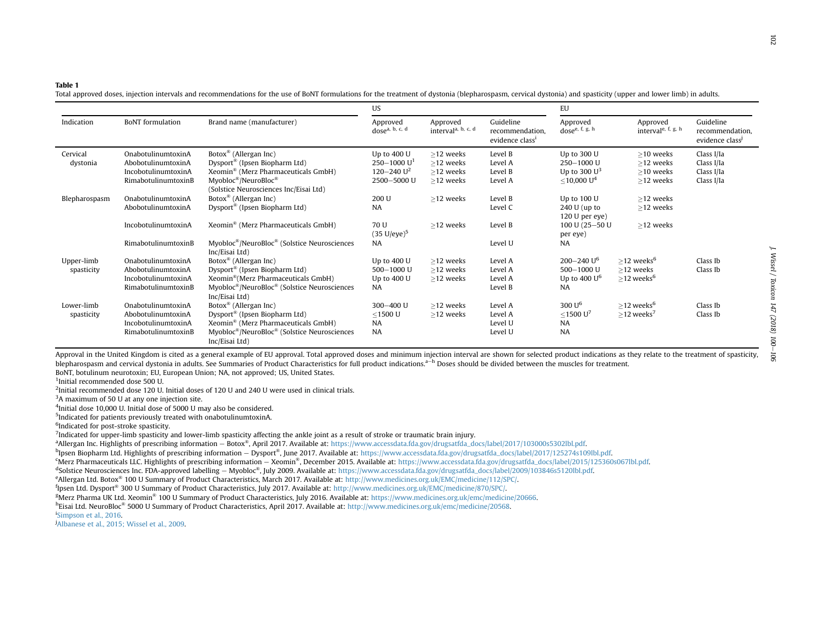#### <span id="page-2-0"></span>Table 1

Total approved doses, injection intervals and recommendations for the use of BoNT formulations for the treatment of dystonia (blepharospasm, cervical dystonia) and spasticity (upper and lower limb) in adults.

|                          |                                                                                        |                                                                                                                                                                                                                             | US                                                                         |                                                          |                                                             | EU                                                                            |                                                                    |                                                             |
|--------------------------|----------------------------------------------------------------------------------------|-----------------------------------------------------------------------------------------------------------------------------------------------------------------------------------------------------------------------------|----------------------------------------------------------------------------|----------------------------------------------------------|-------------------------------------------------------------|-------------------------------------------------------------------------------|--------------------------------------------------------------------|-------------------------------------------------------------|
| Indication               | <b>BoNT</b> formulation                                                                | Brand name (manufacturer)                                                                                                                                                                                                   | Approved<br>dose <sup>a, b, c, d</sup>                                     | Approved<br>interval <sup>a, b, c, d</sup>               | Guideline<br>recommendation.<br>evidence class <sup>1</sup> | Approved<br>dose <sup>e, f, g, h</sup>                                        | Approved<br>interval <sup>e, f, g, h</sup>                         | Guideline<br>recommendation.<br>evidence class <sup>1</sup> |
| Cervical<br>dystonia     | OnabotulinumtoxinA<br>AbobotulinumtoxinA<br>IncobotulinumtoxinA<br>RimabotulinumtoxinB | Botox <sup>®</sup> (Allergan Inc)<br>Dysport <sup>®</sup> (Ipsen Biopharm Ltd)<br>Xeomin <sup>®</sup> (Merz Pharmaceuticals GmbH)<br>$M$ yobloc®/NeuroBloc®<br>(Solstice Neurosciences Inc/Eisai Ltd)                       | Up to 400 U<br>$250 - 1000 U1$<br>120 $-240$ U <sup>2</sup><br>2500-5000 U | $\geq$ 12 weeks<br>>12 weeks<br>>12 weeks<br>$>12$ weeks | Level B<br>Level A<br>Level B<br>Level A                    | Up to 300 U<br>$250 - 1000$ U<br>Up to 300 $U^3$<br>$<$ 10,000 U <sup>4</sup> | $\geq$ 10 weeks<br>$>12$ weeks<br>$>10$ weeks<br>>12 weeks         | Class I/Ia<br>Class I/Ia<br>Class I/Ia<br>Class I/Ia        |
| Blepharospasm            | OnabotulinumtoxinA<br>AbobotulinumtoxinA                                               | Botox <sup>®</sup> (Allergan Inc)<br>Dysport <sup>®</sup> (Ipsen Biopharm Ltd)                                                                                                                                              | 200 U<br>NA                                                                | $>12$ weeks                                              | Level B<br>Level C                                          | Up to 100 U<br>240 U (up to<br>120 U per eye                                  | >12 weeks<br>>12 weeks                                             |                                                             |
|                          | IncobotulinumtoxinA                                                                    | Xeomin <sup>®</sup> (Merz Pharmaceuticals GmbH)                                                                                                                                                                             | 70 U<br>$(35 \text{ U/eye})^5$                                             | >12 weeks                                                | Level B                                                     | 100 U (25-50 U<br>per eye)                                                    | >12 weeks                                                          |                                                             |
|                          | RimabotulinumtoxinB                                                                    | Myobloc <sup>®</sup> /NeuroBloc <sup>®</sup> (Solstice Neurosciences<br>Inc/Eisai Ltd)                                                                                                                                      | <b>NA</b>                                                                  |                                                          | Level U                                                     | NA                                                                            |                                                                    |                                                             |
| Upper-limb<br>spasticity | OnabotulinumtoxinA<br>AbobotulinumtoxinA<br>IncobotulinumtoxinA<br>RimabotulinumtoxinB | Botox <sup>®</sup> (Allergan Inc)<br>Dysport <sup>®</sup> (Ipsen Biopharm Ltd)<br>Xeomin <sup>®</sup> (Merz Pharmaceuticals GmbH)<br>Myobloc <sup>®</sup> /NeuroBloc <sup>®</sup> (Solstice Neurosciences<br>Inc/Eisai Ltd) | Up to 400 U<br>$500 - 1000$ U<br>Up to 400 U<br><b>NA</b>                  | $>12$ weeks<br>$>12$ weeks<br>>12 weeks                  | Level A<br>Level A<br>Level A<br>Level B                    | $200 - 240$ U <sup>6</sup><br>$500 - 1000$ U<br>Up to 400 $U^6$<br><b>NA</b>  | $>12$ weeks <sup>6</sup><br>>12 weeks<br>$>$ 12 weeks <sup>6</sup> | Class Ib<br>Class Ib                                        |
| Lower-limb<br>spasticity | OnabotulinumtoxinA<br>AbobotulinumtoxinA<br>IncobotulinumtoxinA<br>RimabotulinumtoxinB | Botox <sup>®</sup> (Allergan Inc)<br>Dysport <sup>®</sup> (Ipsen Biopharm Ltd)<br>Xeomin <sup>®</sup> (Merz Pharmaceuticals GmbH)<br>Myobloc®/NeuroBloc® (Solstice Neurosciences<br>Inc/Eisai Ltd)                          | $300 - 400$ U<br>$<$ 1500 U<br><b>NA</b><br><b>NA</b>                      | $>12$ weeks<br>$>12$ weeks                               | Level A<br>Level A<br>Level U<br>Level U                    | 300 U <sup>6</sup><br>$<$ 1500 U <sup>7</sup><br><b>NA</b><br><b>NA</b>       | $>$ 12 weeks <sup>6</sup><br>$>$ 12 weeks <sup>7</sup>             | Class Ib<br>Class Ib                                        |

Approval in the United Kingdom is cited as a general example of EU approval. Total approved doses and minimum injection interval are shown for selected product indications as they relate to the treatment of spasticity, blepharospasm and cervical dystonia in adults. See Summaries of Product Characteristics for full product indications.<sup>a-h</sup> Doses should be divided between the muscles for treatment. BoNT, botulinum neurotoxin; EU, European Union; NA, not approved; US, United States.

1Initial recommended dose 500 U.

2Initial recommended dose 120 U. Initial doses of 120 U and 240 U were used in clinical trials.

<sup>3</sup>A maximum of 50 U at any one injection site.

4Initial dose 10,000 U. Initial dose of <sup>5000</sup> <sup>U</sup> may also be considered.

5Indicated for patients previously treated with onabotulinumtoxinA.

<sup>6</sup>Indicated for post-stroke spasticity.

 $<sup>7</sup>$ Indicated for upper-limb spasticity and lower-limb spasticity affecting the ankle joint as a result of stroke or traumatic brain injury.</sup>

<sup>a</sup>Allergan Inc. Highlights of prescribing information - Botox®, April 2017. Available at: [https://www.accessdata.fda.gov/drugsatfda\\_docs/label/2017/103000s5302lbl.pdf.](https://www.accessdata.fda.gov/drugsatfda_docs/label/2017/103000s5302lbl.pdf)

bIpsen Biopharm Ltd. Highlights of prescribing information <sup>e</sup> Dysport®, June 2017. Available at: [https://www.accessdata.fda.gov/drugsatfda\\_docs/label/2017/125274s109lbl.pdf](https://www.accessdata.fda.gov/drugsatfda_docs/label/2017/125274s109lbl.pdf).

cMerz Pharmaceuticals LLC. Highlights of prescribing information <sup>e</sup> Xeomin®, December 2015. Available at: [https://www.accessdata.fda.gov/drugsatfda\\_docs/label/2015/125360s067lbl.pdf](https://www.accessdata.fda.gov/drugsatfda_docs/label/2015/125360s067lbl.pdf).

dSolstice Neurosciences Inc. FDA-approved labelling - Myobloc®, July 2009. Available at: [https://www.accessdata.fda.gov/drugsatfda\\_docs/label/2009/103846s5120lbl.pdf.](https://www.accessdata.fda.gov/drugsatfda_docs/label/2009/103846s5120lbl.pdf)

eAllergan Ltd. Botox® <sup>100</sup> <sup>U</sup> Summary of Product Characteristics, March 2017. Available at: <http://www.medicines.org.uk/EMC/medicine/112/SPC/>.

fIpsen Ltd. Dysport® <sup>300</sup> <sup>U</sup> Summary of Product Characteristics, July 2017. Available at: [http://www.medicines.org.uk/EMC/medicine/870/SPC/.](http://www.medicines.org.uk/EMC/medicine/870/SPC/)

gMerz Pharma UK Ltd. Xeomin® <sup>100</sup> <sup>U</sup> Summary of Product Characteristics, July 2016. Available at: <https://www.medicines.org.uk/emc/medicine/20666>.

h<sub>Eisai</sub> Ltd. NeuroBloc<sup>®</sup> 5000 U Summary of Product Characteristics, April 2017. Available at: <http://www.medicines.org.uk/emc/medicine/20568>.

i[Simpson](#page-6-0) et al., 2016.

j[Albanese](#page-5-0) et al., 2015; Wissel et al., 2009.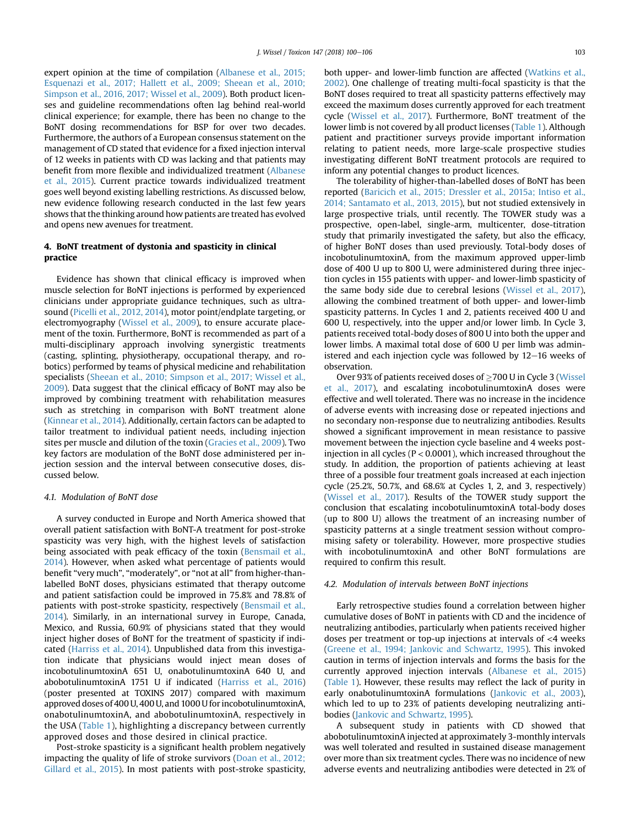expert opinion at the time of compilation [\(Albanese et al., 2015;](#page-5-0) [Esquenazi et al., 2017; Hallett et al., 2009; Sheean et al., 2010;](#page-5-0) [Simpson et al., 2016, 2017; Wissel et al., 2009\)](#page-5-0). Both product licenses and guideline recommendations often lag behind real-world clinical experience; for example, there has been no change to the BoNT dosing recommendations for BSP for over two decades. Furthermore, the authors of a European consensus statement on the management of CD stated that evidence for a fixed injection interval of 12 weeks in patients with CD was lacking and that patients may benefit from more flexible and individualized treatment ([Albanese](#page-5-0) [et al., 2015](#page-5-0)). Current practice towards individualized treatment goes well beyond existing labelling restrictions. As discussed below, new evidence following research conducted in the last few years shows that the thinking around how patients are treated has evolved and opens new avenues for treatment.

## 4. BoNT treatment of dystonia and spasticity in clinical practice

Evidence has shown that clinical efficacy is improved when muscle selection for BoNT injections is performed by experienced clinicians under appropriate guidance techniques, such as ultrasound ([Picelli et al., 2012, 2014](#page-6-0)), motor point/endplate targeting, or electromyography [\(Wissel et al., 2009](#page-6-0)), to ensure accurate placement of the toxin. Furthermore, BoNT is recommended as part of a multi-disciplinary approach involving synergistic treatments (casting, splinting, physiotherapy, occupational therapy, and robotics) performed by teams of physical medicine and rehabilitation specialists ([Sheean et al., 2010; Simpson et al., 2017; Wissel et al.,](#page-6-0) [2009\)](#page-6-0). Data suggest that the clinical efficacy of BoNT may also be improved by combining treatment with rehabilitation measures such as stretching in comparison with BoNT treatment alone ([Kinnear et al., 2014\)](#page-6-0). Additionally, certain factors can be adapted to tailor treatment to individual patient needs, including injection sites per muscle and dilution of the toxin [\(Gracies et al., 2009\)](#page-5-0). Two key factors are modulation of the BoNT dose administered per injection session and the interval between consecutive doses, discussed below.

## 4.1. Modulation of BoNT dose

A survey conducted in Europe and North America showed that overall patient satisfaction with BoNT-A treatment for post-stroke spasticity was very high, with the highest levels of satisfaction being associated with peak efficacy of the toxin ([Bensmail et al.,](#page-5-0) [2014\)](#page-5-0). However, when asked what percentage of patients would benefit "very much", "moderately", or "not at all" from higher-thanlabelled BoNT doses, physicians estimated that therapy outcome and patient satisfaction could be improved in 75.8% and 78.8% of patients with post-stroke spasticity, respectively ([Bensmail et al.,](#page-5-0) [2014\)](#page-5-0). Similarly, in an international survey in Europe, Canada, Mexico, and Russia, 60.9% of physicians stated that they would inject higher doses of BoNT for the treatment of spasticity if indicated ([Harriss et al., 2014](#page-5-0)). Unpublished data from this investigation indicate that physicians would inject mean doses of incobotulinumtoxinA 651 U, onabotulinumtoxinA 640 U, and abobotulinumtoxinA 1751 U if indicated ([Harriss et al., 2016\)](#page-5-0) (poster presented at TOXINS 2017) compared with maximum approved doses of 400 U, 400 U, and 1000 U for incobotulinumtoxinA, onabotulinumtoxinA, and abobotulinumtoxinA, respectively in the USA ([Table 1](#page-2-0)), highlighting a discrepancy between currently approved doses and those desired in clinical practice.

Post-stroke spasticity is a significant health problem negatively impacting the quality of life of stroke survivors [\(Doan et al., 2012;](#page-5-0) [Gillard et al., 2015\)](#page-5-0). In most patients with post-stroke spasticity, both upper- and lower-limb function are affected ([Watkins et al.,](#page-6-0) [2002\)](#page-6-0). One challenge of treating multi-focal spasticity is that the BoNT doses required to treat all spasticity patterns effectively may exceed the maximum doses currently approved for each treatment cycle [\(Wissel et al., 2017](#page-6-0)). Furthermore, BoNT treatment of the lower limb is not covered by all product licenses ([Table 1\)](#page-2-0). Although patient and practitioner surveys provide important information relating to patient needs, more large-scale prospective studies investigating different BoNT treatment protocols are required to inform any potential changes to product licences.

The tolerability of higher-than-labelled doses of BoNT has been reported [\(Baricich et al., 2015; Dressler et al., 2015a; Intiso et al.,](#page-5-0) [2014; Santamato et al., 2013, 2015\)](#page-5-0), but not studied extensively in large prospective trials, until recently. The TOWER study was a prospective, open-label, single-arm, multicenter, dose-titration study that primarily investigated the safety, but also the efficacy, of higher BoNT doses than used previously. Total-body doses of incobotulinumtoxinA, from the maximum approved upper-limb dose of 400 U up to 800 U, were administered during three injection cycles in 155 patients with upper- and lower-limb spasticity of the same body side due to cerebral lesions ([Wissel et al., 2017\)](#page-6-0), allowing the combined treatment of both upper- and lower-limb spasticity patterns. In Cycles 1 and 2, patients received 400 U and 600 U, respectively, into the upper and/or lower limb. In Cycle 3, patients received total-body doses of 800 U into both the upper and lower limbs. A maximal total dose of 600 U per limb was administered and each injection cycle was followed by  $12-16$  weeks of observation.

Over 93% of patients received doses of >700 U in Cycle 3 ([Wissel](#page-6-0) [et al., 2017](#page-6-0)), and escalating incobotulinumtoxinA doses were effective and well tolerated. There was no increase in the incidence of adverse events with increasing dose or repeated injections and no secondary non-response due to neutralizing antibodies. Results showed a significant improvement in mean resistance to passive movement between the injection cycle baseline and 4 weeks postinjection in all cycles (P < 0.0001), which increased throughout the study. In addition, the proportion of patients achieving at least three of a possible four treatment goals increased at each injection cycle (25.2%, 50.7%, and 68.6% at Cycles 1, 2, and 3, respectively) ([Wissel et al., 2017\)](#page-6-0). Results of the TOWER study support the conclusion that escalating incobotulinumtoxinA total-body doses (up to 800 U) allows the treatment of an increasing number of spasticity patterns at a single treatment session without compromising safety or tolerability. However, more prospective studies with incobotulinumtoxinA and other BoNT formulations are required to confirm this result.

#### 4.2. Modulation of intervals between BoNT injections

Early retrospective studies found a correlation between higher cumulative doses of BoNT in patients with CD and the incidence of neutralizing antibodies, particularly when patients received higher doses per treatment or top-up injections at intervals of <4 weeks ([Greene et al., 1994; Jankovic and Schwartz, 1995\)](#page-5-0). This invoked caution in terms of injection intervals and forms the basis for the currently approved injection intervals ([Albanese et al., 2015\)](#page-5-0) ([Table 1](#page-2-0)). However, these results may reflect the lack of purity in early onabotulinumtoxinA formulations [\(Jankovic et al., 2003\)](#page-5-0), which led to up to 23% of patients developing neutralizing antibodies ([Jankovic and Schwartz, 1995](#page-5-0)).

A subsequent study in patients with CD showed that abobotulinumtoxinA injected at approximately 3-monthly intervals was well tolerated and resulted in sustained disease management over more than six treatment cycles. There was no incidence of new adverse events and neutralizing antibodies were detected in 2% of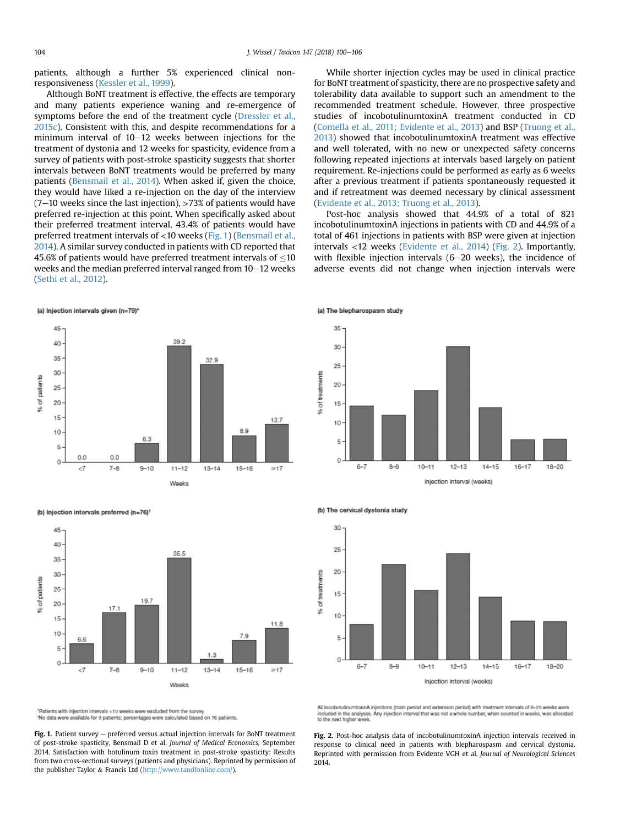patients, although a further 5% experienced clinical nonresponsiveness ([Kessler et al., 1999](#page-6-0)).

Although BoNT treatment is effective, the effects are temporary and many patients experience waning and re-emergence of symptoms before the end of the treatment cycle ([Dressler et al.,](#page-5-0) [2015c\)](#page-5-0). Consistent with this, and despite recommendations for a minimum interval of  $10-12$  weeks between injections for the treatment of dystonia and 12 weeks for spasticity, evidence from a survey of patients with post-stroke spasticity suggests that shorter intervals between BoNT treatments would be preferred by many patients ([Bensmail et al., 2014](#page-5-0)). When asked if, given the choice, they would have liked a re-injection on the day of the interview  $(7-10$  weeks since the last injection), >73% of patients would have preferred re-injection at this point. When specifically asked about their preferred treatment interval, 43.4% of patients would have preferred treatment intervals of <10 weeks (Fig. 1) [\(Bensmail et al.,](#page-5-0) [2014](#page-5-0)). A similar survey conducted in patients with CD reported that 45.6% of patients would have preferred treatment intervals of  $\leq$ 10 weeks and the median preferred interval ranged from  $10-12$  weeks ([Sethi et al., 2012](#page-6-0)).

(a) Injection intervals given (n=79)\*



(b) Injection intervals preferred (n=76)



\*Patients with injection intervals <10 weeks were excluded from the survey \*No data were available for 3 patients; percentages were calculated based on 76 patients

Fig. 1. Patient survey  $-$  preferred versus actual injection intervals for BoNT treatment of post-stroke spasticity, Bensmail D et al. Journal of Medical Economics, September 2014. Satisfaction with botulinum toxin treatment in post-stroke spasticity: Results from two cross-sectional surveys (patients and physicians). Reprinted by permission of the publisher Taylor & Francis Ltd [\(http://www.tandfonline.com/](http://www.tandfonline.com/)).

While shorter injection cycles may be used in clinical practice for BoNT treatment of spasticity, there are no prospective safety and tolerability data available to support such an amendment to the recommended treatment schedule. However, three prospective studies of incobotulinumtoxinA treatment conducted in CD ([Comella et al., 2011; Evidente et al., 2013](#page-5-0)) and BSP [\(Truong et al.,](#page-6-0) [2013\)](#page-6-0) showed that incobotulinumtoxinA treatment was effective and well tolerated, with no new or unexpected safety concerns following repeated injections at intervals based largely on patient requirement. Re-injections could be performed as early as 6 weeks after a previous treatment if patients spontaneously requested it and if retreatment was deemed necessary by clinical assessment ([Evidente et al., 2013; Truong et al., 2013\)](#page-5-0).

Post-hoc analysis showed that 44.9% of a total of 821 incobotulinumtoxinA injections in patients with CD and 44.9% of a total of 461 injections in patients with BSP were given at injection intervals <12 weeks ([Evidente et al., 2014\)](#page-5-0) (Fig. 2). Importantly, with flexible injection intervals  $(6-20$  weeks), the incidence of adverse events did not change when injection intervals were





All incobotulinumtoxinA injections (main period and extension period) with treatment intervals of 6-20 weeks were included in the analyses. Any injection interval that was not a whole number, when counted in weeks, was allocated<br>to the next higher week.

Fig. 2. Post-hoc analysis data of incobotulinumtoxinA injection intervals received in response to clinical need in patients with blepharospasm and cervical dystonia. Reprinted with permission from Evidente VGH et al. Journal of Neurological Sciences 2014.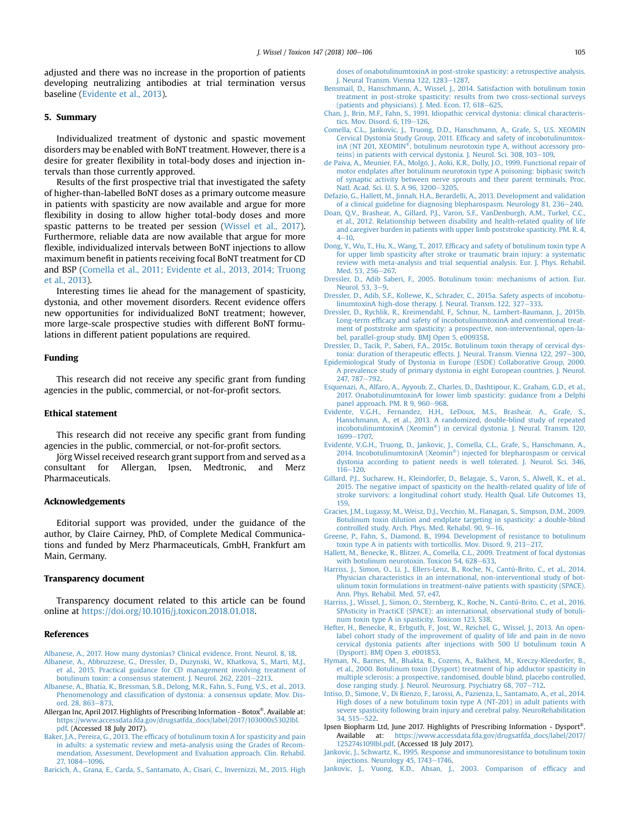<span id="page-5-0"></span>adjusted and there was no increase in the proportion of patients developing neutralizing antibodies at trial termination versus baseline (Evidente et al., 2013).

#### 5. Summary

Individualized treatment of dystonic and spastic movement disorders may be enabled with BoNT treatment. However, there is a desire for greater flexibility in total-body doses and injection intervals than those currently approved.

Results of the first prospective trial that investigated the safety of higher-than-labelled BoNT doses as a primary outcome measure in patients with spasticity are now available and argue for more flexibility in dosing to allow higher total-body doses and more spastic patterns to be treated per session [\(Wissel et al., 2017\)](#page-6-0). Furthermore, reliable data are now available that argue for more flexible, individualized intervals between BoNT injections to allow maximum benefit in patients receiving focal BoNT treatment for CD and BSP (Comella et al., 2011; Evidente et al., 2013, 2014; Truong et al., 2013).

Interesting times lie ahead for the management of spasticity, dystonia, and other movement disorders. Recent evidence offers new opportunities for individualized BoNT treatment; however, more large-scale prospective studies with different BoNT formulations in different patient populations are required.

#### Funding

This research did not receive any specific grant from funding agencies in the public, commercial, or not-for-profit sectors.

#### Ethical statement

This research did not receive any specific grant from funding agencies in the public, commercial, or not-for-profit sectors.

Jörg Wissel received research grant support from and served as a consultant for Allergan, Ipsen, Medtronic, and Merz Pharmaceuticals.

#### Acknowledgements

Editorial support was provided, under the guidance of the author, by Claire Cairney, PhD, of Complete Medical Communications and funded by Merz Pharmaceuticals, GmbH, Frankfurt am Main, Germany.

## Transparency document

Transparency document related to this article can be found online at [https://doi.org/10.1016/j.toxicon.2018.01.018.](https://doi.org/10.1016/j.toxicon.2018.01.018)

#### References

- [Albanese, A., 2017. How many dystonias? Clinical evidence. Front. Neurol. 8, 18.](http://refhub.elsevier.com/S0041-0101(18)30032-1/sref1) [Albanese, A., Abbruzzese, G., Dressler, D., Duzynski, W., Khatkova, S., Marti, M.J.,](http://refhub.elsevier.com/S0041-0101(18)30032-1/sref2)
- [et al., 2015. Practical guidance for CD management involving treatment of](http://refhub.elsevier.com/S0041-0101(18)30032-1/sref2) [botulinum toxin: a consensus statement. J. Neurol. 262, 2201](http://refhub.elsevier.com/S0041-0101(18)30032-1/sref2)-[2213](http://refhub.elsevier.com/S0041-0101(18)30032-1/sref2).
- [Albanese, A., Bhatia, K., Bressman, S.B., Delong, M.R., Fahn, S., Fung, V.S., et al., 2013.](http://refhub.elsevier.com/S0041-0101(18)30032-1/sref3) Phenomenology and classifi[cation of dystonia: a consensus update. Mov. Dis](http://refhub.elsevier.com/S0041-0101(18)30032-1/sref3)[ord. 28, 863](http://refhub.elsevier.com/S0041-0101(18)30032-1/sref3)-[873](http://refhub.elsevier.com/S0041-0101(18)30032-1/sref3).
- Allergan Inc, April 2017. Highlights of Prescribing Information Botox®. Available at: [https://www.accessdata.fda.gov/drugsatfda\\_docs/label/2017/103000s5302lbl.](https://www.accessdata.fda.gov/drugsatfda_docs/label/2017/103000s5302lbl.pdf) [pdf](https://www.accessdata.fda.gov/drugsatfda_docs/label/2017/103000s5302lbl.pdf). (Accessed 18 July 2017).
- Baker, J.A., Pereira, G., 2013. The effi[cacy of botulinum toxin A for spasticity and pain](http://refhub.elsevier.com/S0041-0101(18)30032-1/sref5) [in adults: a systematic review and meta-analysis using the Grades of Recom](http://refhub.elsevier.com/S0041-0101(18)30032-1/sref5)[mendation, Assessment, Development and Evaluation approach. Clin. Rehabil.](http://refhub.elsevier.com/S0041-0101(18)30032-1/sref5) [27, 1084](http://refhub.elsevier.com/S0041-0101(18)30032-1/sref5)-1096
- [Baricich, A., Grana, E., Carda, S., Santamato, A., Cisari, C., Invernizzi, M., 2015. High](http://refhub.elsevier.com/S0041-0101(18)30032-1/sref6)

[doses of onabotulinumtoxinA in post-stroke spasticity: a retrospective analysis.](http://refhub.elsevier.com/S0041-0101(18)30032-1/sref6) J. Neural Transm. Vienna 122,  $1283-1287$ .

- [Bensmail, D., Hanschmann, A., Wissel, J., 2014. Satisfaction with botulinum toxin](http://refhub.elsevier.com/S0041-0101(18)30032-1/sref7) [treatment in post-stroke spasticity: results from two cross-sectional surveys](http://refhub.elsevier.com/S0041-0101(18)30032-1/sref7) (patients and physicians). J. Med. Econ. 17,  $618-625$ .
- [Chan, J., Brin, M.F., Fahn, S., 1991. Idiopathic cervical dystonia: clinical characteris](http://refhub.elsevier.com/S0041-0101(18)30032-1/sref8)tics. Mov. Disord.  $6.119-126$  $6.119-126$ .
- [Comella, C.L., Jankovic, J., Truong, D.D., Hanschmann, A., Grafe, S., U.S. XEOMIN](http://refhub.elsevier.com/S0041-0101(18)30032-1/sref9) [Cervical Dystonia Study Group, 2011. Ef](http://refhub.elsevier.com/S0041-0101(18)30032-1/sref9)ficacy and safety of incobotulinumtox[inA](http://refhub.elsevier.com/S0041-0101(18)30032-1/sref9) [\(NT](http://refhub.elsevier.com/S0041-0101(18)30032-1/sref9) [201,](http://refhub.elsevier.com/S0041-0101(18)30032-1/sref9) [XEOMIN](http://refhub.elsevier.com/S0041-0101(18)30032-1/sref9)®[, botulinum neurotoxin type A, without accessory pro-](http://refhub.elsevier.com/S0041-0101(18)30032-1/sref9)teins) in patients with cervical dystonia. I. Neurol. Sci. 308, 103-[109.](http://refhub.elsevier.com/S0041-0101(18)30032-1/sref9)
- [de Paiva, A., Meunier, F.A., Molgo, J., Aoki, K.R., Dolly, J.O., 1999. Functional repair of](http://refhub.elsevier.com/S0041-0101(18)30032-1/sref10) [motor endplates after botulinum neurotoxin type A poisoning: biphasic switch](http://refhub.elsevier.com/S0041-0101(18)30032-1/sref10) [of synaptic activity between nerve sprouts and their parent terminals. Proc.](http://refhub.elsevier.com/S0041-0101(18)30032-1/sref10) [Natl. Acad. Sci. U. S. A 96, 3200](http://refhub.elsevier.com/S0041-0101(18)30032-1/sref10)-[3205](http://refhub.elsevier.com/S0041-0101(18)30032-1/sref10).
- [Defazio, G., Hallett, M., Jinnah, H.A., Berardelli, A., 2013. Development and validation](http://refhub.elsevier.com/S0041-0101(18)30032-1/sref11) [of a clinical guideline for diagnosing blepharospasm. Neurology 81, 236](http://refhub.elsevier.com/S0041-0101(18)30032-1/sref11)-[240.](http://refhub.elsevier.com/S0041-0101(18)30032-1/sref11)
- [Doan, Q.V., Brashear, A., Gillard, P.J., Varon, S.F., VanDenburgh, A.M., Turkel, C.C.,](http://refhub.elsevier.com/S0041-0101(18)30032-1/sref12) [et al., 2012. Relationship between disability and health-related quality of life](http://refhub.elsevier.com/S0041-0101(18)30032-1/sref12) [and caregiver burden in patients with upper limb poststroke spasticity. PM. R. 4,](http://refhub.elsevier.com/S0041-0101(18)30032-1/sref12)  $4 - 10$  $4 - 10$  $4 - 10$
- Dong, Y., Wu, T., Hu, X., Wang, T., 2017. Effi[cacy and safety of botulinum toxin type A](http://refhub.elsevier.com/S0041-0101(18)30032-1/sref13) [for upper limb spasticity after stroke or traumatic brain injury: a systematic](http://refhub.elsevier.com/S0041-0101(18)30032-1/sref13) [review with meta-analysis and trial sequential analysis. Eur. J. Phys. Rehabil.](http://refhub.elsevier.com/S0041-0101(18)30032-1/sref13) [Med. 53, 256](http://refhub.elsevier.com/S0041-0101(18)30032-1/sref13)-[267.](http://refhub.elsevier.com/S0041-0101(18)30032-1/sref13)
- [Dressler, D., Adib Saberi, F., 2005. Botulinum toxin: mechanisms of action. Eur.](http://refhub.elsevier.com/S0041-0101(18)30032-1/sref14) [Neurol. 53, 3](http://refhub.elsevier.com/S0041-0101(18)30032-1/sref14)-[9.](http://refhub.elsevier.com/S0041-0101(18)30032-1/sref14)
- [Dressler, D., Adib, S.F., Kollewe, K., Schrader, C., 2015a. Safety aspects of incobotu](http://refhub.elsevier.com/S0041-0101(18)30032-1/sref15)[linumtoxinA high-dose therapy. J. Neural. Transm. 122, 327](http://refhub.elsevier.com/S0041-0101(18)30032-1/sref15)-[333](http://refhub.elsevier.com/S0041-0101(18)30032-1/sref15).
- [Dressler, D., Rychlik, R., Kreimendahl, F., Schnur, N., Lambert-Baumann, J., 2015b.](http://refhub.elsevier.com/S0041-0101(18)30032-1/sref16) Long-term effi[cacy and safety of incobotulinumtoxinA and conventional treat](http://refhub.elsevier.com/S0041-0101(18)30032-1/sref16)[ment of poststroke arm spasticity: a prospective, non-interventional, open-la](http://refhub.elsevier.com/S0041-0101(18)30032-1/sref16)[bel, parallel-group study. BMJ Open 5, e009358](http://refhub.elsevier.com/S0041-0101(18)30032-1/sref16).
- [Dressler, D., Tacik, P., Saberi, F.A., 2015c. Botulinum toxin therapy of cervical dys](http://refhub.elsevier.com/S0041-0101(18)30032-1/sref17)[tonia: duration of therapeutic effects. J. Neural. Transm. Vienna 122, 297](http://refhub.elsevier.com/S0041-0101(18)30032-1/sref17)-[300](http://refhub.elsevier.com/S0041-0101(18)30032-1/sref17).
- [Epidemiological Study of Dystonia in Europe \(ESDE\) Collaborative Group, 2000.](http://refhub.elsevier.com/S0041-0101(18)30032-1/sref18) [A prevalence study of primary dystonia in eight European countries. J. Neurol.](http://refhub.elsevier.com/S0041-0101(18)30032-1/sref18) [247, 787](http://refhub.elsevier.com/S0041-0101(18)30032-1/sref18)-[792](http://refhub.elsevier.com/S0041-0101(18)30032-1/sref18).
- [Esquenazi, A., Alfaro, A., Ayyoub, Z., Charles, D., Dashtipour, K., Graham, G.D., et al.,](http://refhub.elsevier.com/S0041-0101(18)30032-1/sref19) [2017. OnabotulinumtoxinA for lower limb spasticity: guidance from a Delphi](http://refhub.elsevier.com/S0041-0101(18)30032-1/sref19) [panel approach. PM. R 9, 960](http://refhub.elsevier.com/S0041-0101(18)30032-1/sref19)–[968](http://refhub.elsevier.com/S0041-0101(18)30032-1/sref19).<br>Evidente V.G.H., Fernandez, H.H.,
- V.G.H., Fernandez, H.H., LeDoux, M.S., Brashear, A., Grafe, S., [Hanschmann, A., et al., 2013. A randomized, double-blind study of repeated](http://refhub.elsevier.com/S0041-0101(18)30032-1/sref20) [incobotulinumtoxinA](http://refhub.elsevier.com/S0041-0101(18)30032-1/sref20) [\(Xeomin](http://refhub.elsevier.com/S0041-0101(18)30032-1/sref20)®[\) in cervical dystonia. J. Neural. Transm. 120,](http://refhub.elsevier.com/S0041-0101(18)30032-1/sref20) [1699](http://refhub.elsevier.com/S0041-0101(18)30032-1/sref20)-[1707.](http://refhub.elsevier.com/S0041-0101(18)30032-1/sref20)
- [Evidente, V.G.H., Truong, D., Jankovic, J., Comella, C.L., Grafe, S., Hanschmann, A.,](http://refhub.elsevier.com/S0041-0101(18)30032-1/sref21) [2014.](http://refhub.elsevier.com/S0041-0101(18)30032-1/sref21) [IncobotulinumtoxinA](http://refhub.elsevier.com/S0041-0101(18)30032-1/sref21) [\(Xeomin](http://refhub.elsevier.com/S0041-0101(18)30032-1/sref21)®[\) injected for blepharospasm or cervical](http://refhub.elsevier.com/S0041-0101(18)30032-1/sref21) [dystonia according to patient needs is well tolerated. J. Neurol. Sci. 346,](http://refhub.elsevier.com/S0041-0101(18)30032-1/sref21)  $116 - 120$  $116 - 120$ .
- [Gillard, P.J., Sucharew, H., Kleindorfer, D., Belagaje, S., Varon, S., Alwell, K., et al.,](http://refhub.elsevier.com/S0041-0101(18)30032-1/sref22) [2015. The negative impact of spasticity on the health-related quality of life of](http://refhub.elsevier.com/S0041-0101(18)30032-1/sref22) [stroke survivors: a longitudinal cohort study. Health Qual. Life Outcomes 13,](http://refhub.elsevier.com/S0041-0101(18)30032-1/sref22) [159](http://refhub.elsevier.com/S0041-0101(18)30032-1/sref22).
- [Gracies, J.M., Lugassy, M., Weisz, D.J., Vecchio, M., Flanagan, S., Simpson, D.M., 2009.](http://refhub.elsevier.com/S0041-0101(18)30032-1/sref23) [Botulinum toxin dilution and endplate targeting in spasticity: a double-blind](http://refhub.elsevier.com/S0041-0101(18)30032-1/sref23) [controlled study. Arch. Phys. Med. Rehabil. 90, 9](http://refhub.elsevier.com/S0041-0101(18)30032-1/sref23)-[16.](http://refhub.elsevier.com/S0041-0101(18)30032-1/sref23)
- [Greene, P., Fahn, S., Diamond, B., 1994. Development of resistance to botulinum](http://refhub.elsevier.com/S0041-0101(18)30032-1/sref24) [toxin type A in patients with torticollis. Mov. Disord. 9, 213](http://refhub.elsevier.com/S0041-0101(18)30032-1/sref24)-[217.](http://refhub.elsevier.com/S0041-0101(18)30032-1/sref24)
- [Hallett, M., Benecke, R., Blitzer, A., Comella, C.L., 2009. Treatment of focal dystonias](http://refhub.elsevier.com/S0041-0101(18)30032-1/sref25) [with botulinum neurotoxin. Toxicon 54, 628](http://refhub.elsevier.com/S0041-0101(18)30032-1/sref25)-[633](http://refhub.elsevier.com/S0041-0101(18)30032-1/sref25).
- [Harriss, J., Simon, O., Li, J., Ellers-Lenz, B., Roche, N., Cantú-Brito, C., et al., 2014.](http://refhub.elsevier.com/S0041-0101(18)30032-1/sref26) [Physician characteristics in an international, non-interventional study of bot](http://refhub.elsevier.com/S0041-0101(18)30032-1/sref26)[ulinum toxin formulations in treatment-naïve patients with spasticity \(SPACE\).](http://refhub.elsevier.com/S0041-0101(18)30032-1/sref26) [Ann. Phys. Rehabil. Med. 57, e47.](http://refhub.elsevier.com/S0041-0101(18)30032-1/sref26)
- [Harriss, J., Wissel, J., Simon, O., Sternberg, K., Roche, N., Cantú-Brito, C., et al., 2016.](http://refhub.elsevier.com/S0041-0101(18)30032-1/sref27) [SPAsticity in PractiCE \(SPACE\): an international, observational study of botuli](http://refhub.elsevier.com/S0041-0101(18)30032-1/sref27)[num toxin type A in spasticity. Toxicon 123, S38](http://refhub.elsevier.com/S0041-0101(18)30032-1/sref27).
- [Hefter, H., Benecke, R., Erbguth, F., Jost, W., Reichel, G., Wissel, J., 2013. An open](http://refhub.elsevier.com/S0041-0101(18)30032-1/sref28)[label cohort study of the improvement of quality of life and pain in de novo](http://refhub.elsevier.com/S0041-0101(18)30032-1/sref28) [cervical dystonia patients after injections with 500 U botulinum toxin A](http://refhub.elsevier.com/S0041-0101(18)30032-1/sref28) [\(Dysport\). BMJ Open 3, e001853.](http://refhub.elsevier.com/S0041-0101(18)30032-1/sref28)
- [Hyman, N., Barnes, M., Bhakta, B., Cozens, A., Bakheit, M., Kreczy-Kleedorfer, B.,](http://refhub.elsevier.com/S0041-0101(18)30032-1/sref29) [et al., 2000. Botulinum toxin \(Dysport\) treatment of hip adductor spasticity in](http://refhub.elsevier.com/S0041-0101(18)30032-1/sref29) [multiple sclerosis: a prospective, randomised, double blind, placebo controlled,](http://refhub.elsevier.com/S0041-0101(18)30032-1/sref29) [dose ranging study. J. Neurol. Neurosurg. Psychiatry 68, 707](http://refhub.elsevier.com/S0041-0101(18)30032-1/sref29)-[712](http://refhub.elsevier.com/S0041-0101(18)30032-1/sref29).
- [Intiso, D., Simone, V., Di Rienzo, F., Iarossi, A., Pazienza, L., Santamato, A., et al., 2014.](http://refhub.elsevier.com/S0041-0101(18)30032-1/sref30) [High doses of a new botulinum toxin type A \(NT-201\) in adult patients with](http://refhub.elsevier.com/S0041-0101(18)30032-1/sref30) [severe spasticity following brain injury and cerebral palsy. NeuroRehabilitation](http://refhub.elsevier.com/S0041-0101(18)30032-1/sref30)  $34, 515 - 522$  $34, 515 - 522$
- Ipsen Biopharm Ltd, June 2017. Highlights of Prescribing Information Dysport®. Available at: [https://www.accessdata.fda.gov/drugsatfda\\_docs/label/2017/](https://www.accessdata.fda.gov/drugsatfda_docs/label/2017/125274s109lbl.pdf) [125274s109lbl.pdf](https://www.accessdata.fda.gov/drugsatfda_docs/label/2017/125274s109lbl.pdf). (Accessed 18 July 2017).
- [Jankovic, J., Schwartz, K., 1995. Response and immunoresistance to botulinum toxin](http://refhub.elsevier.com/S0041-0101(18)30032-1/sref32) [injections. Neurology 45, 1743](http://refhub.elsevier.com/S0041-0101(18)30032-1/sref32)-[1746.](http://refhub.elsevier.com/S0041-0101(18)30032-1/sref32)
- [Jankovic, J., Vuong, K.D., Ahsan, J., 2003. Comparison of ef](http://refhub.elsevier.com/S0041-0101(18)30032-1/sref33)ficacy and